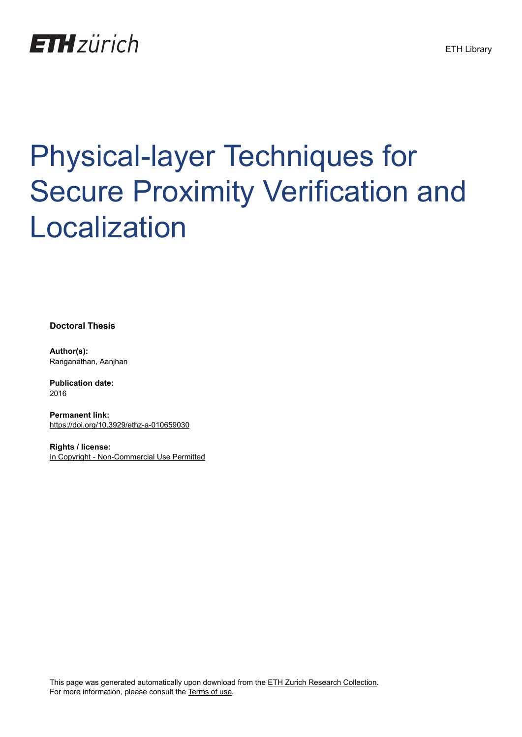## **ETH**zürich

# Physical-layer Techniques for Secure Proximity Verification and Localization

**Doctoral Thesis**

**Author(s):** Ranganathan, Aanjhan

**Publication date:** 2016

**Permanent link:** <https://doi.org/10.3929/ethz-a-010659030>

**Rights / license:** [In Copyright - Non-Commercial Use Permitted](http://rightsstatements.org/page/InC-NC/1.0/)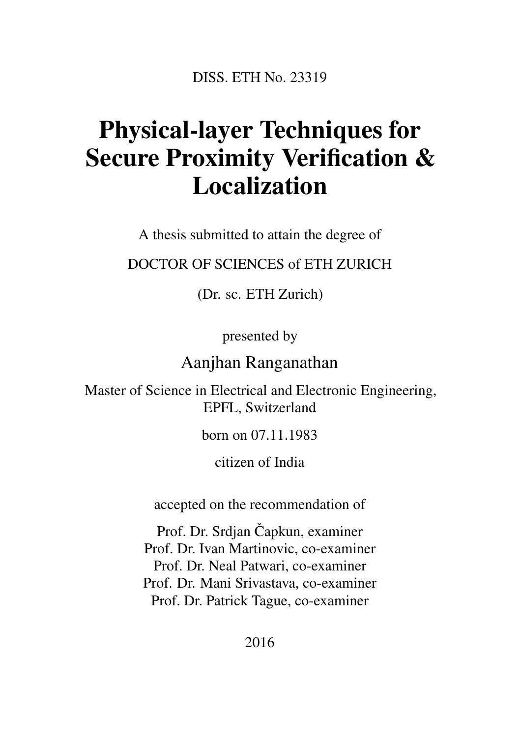DISS. ETH No. 23319

#### Physical-layer Techniques for Secure Proximity Verification & Localization

A thesis submitted to attain the degree of

DOCTOR OF SCIENCES of ETH ZURICH

(Dr. sc. ETH Zurich)

presented by

Aanjhan Ranganathan

Master of Science in Electrical and Electronic Engineering, EPFL, Switzerland

born on 07.11.1983

citizen of India

accepted on the recommendation of

Prof. Dr. Srdjan Čapkun, examiner Prof. Dr. Ivan Martinovic, co-examiner Prof. Dr. Neal Patwari, co-examiner Prof. Dr. Mani Srivastava, co-examiner Prof. Dr. Patrick Tague, co-examiner

2016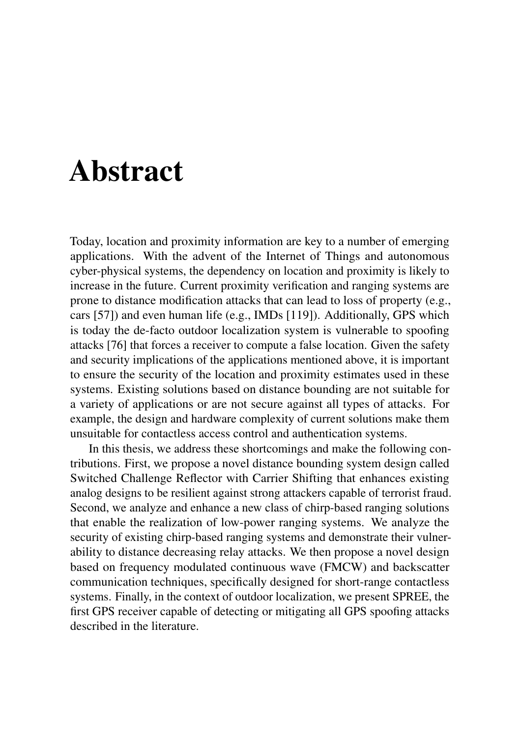#### Abstract

Today, location and proximity information are key to a number of emerging applications. With the advent of the Internet of Things and autonomous cyber-physical systems, the dependency on location and proximity is likely to increase in the future. Current proximity verification and ranging systems are prone to distance modification attacks that can lead to loss of property (e.g., cars [57]) and even human life (e.g., IMDs [119]). Additionally, GPS which is today the de-facto outdoor localization system is vulnerable to spoofing attacks [76] that forces a receiver to compute a false location. Given the safety and security implications of the applications mentioned above, it is important to ensure the security of the location and proximity estimates used in these systems. Existing solutions based on distance bounding are not suitable for a variety of applications or are not secure against all types of attacks. For example, the design and hardware complexity of current solutions make them unsuitable for contactless access control and authentication systems.

In this thesis, we address these shortcomings and make the following contributions. First, we propose a novel distance bounding system design called Switched Challenge Reflector with Carrier Shifting that enhances existing analog designs to be resilient against strong attackers capable of terrorist fraud. Second, we analyze and enhance a new class of chirp-based ranging solutions that enable the realization of low-power ranging systems. We analyze the security of existing chirp-based ranging systems and demonstrate their vulnerability to distance decreasing relay attacks. We then propose a novel design based on frequency modulated continuous wave (FMCW) and backscatter communication techniques, specifically designed for short-range contactless systems. Finally, in the context of outdoor localization, we present SPREE, the first GPS receiver capable of detecting or mitigating all GPS spoofing attacks described in the literature.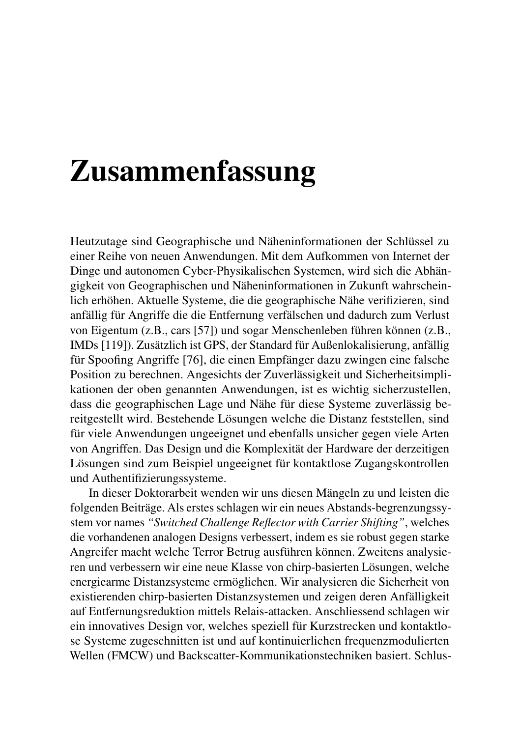### Zusammenfassung

Heutzutage sind Geographische und Näheninformationen der Schlüssel zu einer Reihe von neuen Anwendungen. Mit dem Aufkommen von Internet der Dinge und autonomen Cyber-Physikalischen Systemen, wird sich die Abhängigkeit von Geographischen und Näheninformationen in Zukunft wahrscheinlich erhöhen. Aktuelle Systeme, die die geographische Nähe verifizieren, sind anfällig für Angriffe die die Entfernung verfälschen und dadurch zum Verlust von Eigentum (z.B., cars [57]) und sogar Menschenleben führen können (z.B., IMDs [119]). Zusätzlich ist GPS, der Standard für Außenlokalisierung, anfällig für Spoofing Angriffe [76], die einen Empfänger dazu zwingen eine falsche Position zu berechnen. Angesichts der Zuverlässigkeit und Sicherheitsimplikationen der oben genannten Anwendungen, ist es wichtig sicherzustellen, dass die geographischen Lage und Nähe für diese Systeme zuverlässig bereitgestellt wird. Bestehende Lösungen welche die Distanz feststellen, sind für viele Anwendungen ungeeignet und ebenfalls unsicher gegen viele Arten von Angriffen. Das Design und die Komplexität der Hardware der derzeitigen Lösungen sind zum Beispiel ungeeignet für kontaktlose Zugangskontrollen und Authentifizierungssysteme.

In dieser Doktorarbeit wenden wir uns diesen Mängeln zu und leisten die folgenden Beiträge. Als erstes schlagen wir ein neues Abstands-begrenzungssystem vor names *"Switched Challenge Reflector with Carrier Shifting"*, welches die vorhandenen analogen Designs verbessert, indem es sie robust gegen starke Angreifer macht welche Terror Betrug ausführen können. Zweitens analysieren und verbessern wir eine neue Klasse von chirp-basierten Lösungen, welche energiearme Distanzsysteme ermöglichen. Wir analysieren die Sicherheit von existierenden chirp-basierten Distanzsystemen und zeigen deren Anfälligkeit auf Entfernungsreduktion mittels Relais-attacken. Anschliessend schlagen wir ein innovatives Design vor, welches speziell für Kurzstrecken und kontaktlose Systeme zugeschnitten ist und auf kontinuierlichen frequenzmodulierten Wellen (FMCW) und Backscatter-Kommunikationstechniken basiert. Schlus